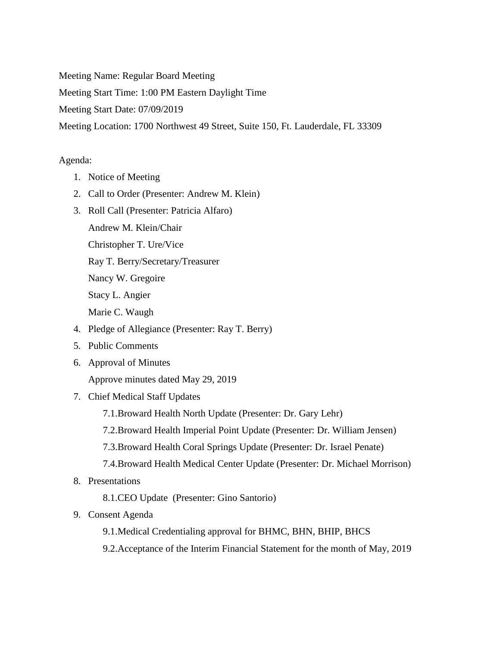Meeting Name: Regular Board Meeting

Meeting Start Time: 1:00 PM Eastern Daylight Time

Meeting Start Date: 07/09/2019

Meeting Location: 1700 Northwest 49 Street, Suite 150, Ft. Lauderdale, FL 33309

## Agenda:

- 1. Notice of Meeting
- 2. Call to Order (Presenter: Andrew M. Klein)
- 3. Roll Call (Presenter: Patricia Alfaro)
	- Andrew M. Klein/Chair

Christopher T. Ure/Vice

Ray T. Berry/Secretary/Treasurer

Nancy W. Gregoire

Stacy L. Angier

Marie C. Waugh

- 4. Pledge of Allegiance (Presenter: Ray T. Berry)
- 5. Public Comments
- 6. Approval of Minutes

Approve minutes dated May 29, 2019

- 7. Chief Medical Staff Updates
	- 7.1.Broward Health North Update (Presenter: Dr. Gary Lehr)
	- 7.2.Broward Health Imperial Point Update (Presenter: Dr. William Jensen)
	- 7.3.Broward Health Coral Springs Update (Presenter: Dr. Israel Penate)
	- 7.4.Broward Health Medical Center Update (Presenter: Dr. Michael Morrison)
- 8. Presentations

8.1.CEO Update (Presenter: Gino Santorio)

- 9. Consent Agenda
	- 9.1.Medical Credentialing approval for BHMC, BHN, BHIP, BHCS
	- 9.2.Acceptance of the Interim Financial Statement for the month of May, 2019